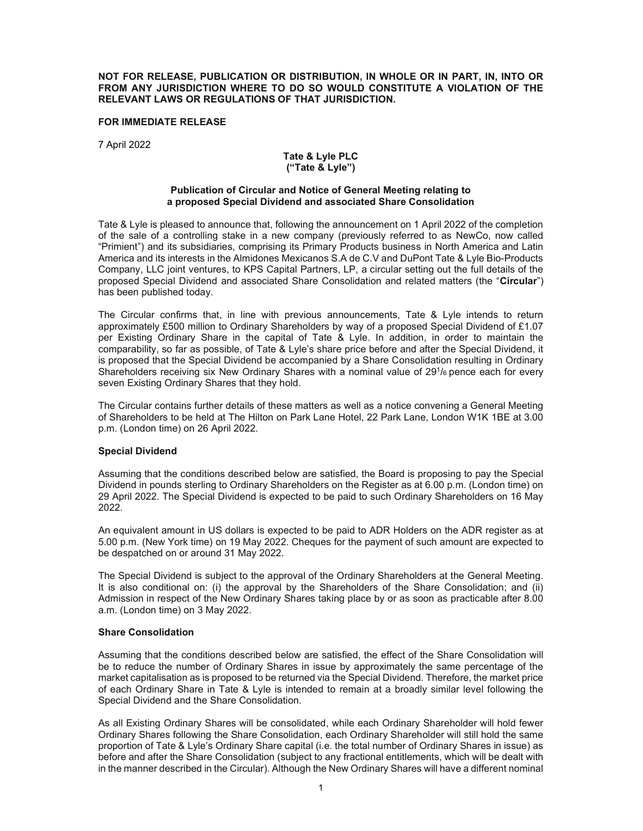#### NOT FOR RELEASE, PUBLICATION OR DISTRIBUTION, IN WHOLE OR IN PART, IN, INTO OR FROM ANY JURISDICTION WHERE TO DO SO WOULD CONSTITUTE A VIOLATION OF THE RELEVANT LAWS OR REGULATIONS OF THAT JURISDICTION.

## FOR IMMEDIATE RELEASE

7 April 2022

## Tate & Lyle PLC ("Tate & Lyle")

#### Publication of Circular and Notice of General Meeting relating to a proposed Special Dividend and associated Share Consolidation

Tate & Lyle is pleased to announce that, following the announcement on 1 April 2022 of the completion of the sale of a controlling stake in a new company (previously referred to as NewCo, now called "Primient") and its subsidiaries, comprising its Primary Products business in North America and Latin America and its interests in the Almidones Mexicanos S.A de C.V and DuPont Tate & Lyle Bio-Products Company, LLC joint ventures, to KPS Capital Partners, LP, a circular setting out the full details of the proposed Special Dividend and associated Share Consolidation and related matters (the "Circular") has been published today.

The Circular confirms that, in line with previous announcements, Tate & Lyle intends to return approximately £500 million to Ordinary Shareholders by way of a proposed Special Dividend of £1.07 per Existing Ordinary Share in the capital of Tate & Lyle. In addition, in order to maintain the comparability, so far as possible, of Tate & Lyle's share price before and after the Special Dividend, it is proposed that the Special Dividend be accompanied by a Share Consolidation resulting in Ordinary Shareholders receiving six New Ordinary Shares with a nominal value of  $29<sup>1</sup>/6$  pence each for every seven Existing Ordinary Shares that they hold.

The Circular contains further details of these matters as well as a notice convening a General Meeting of Shareholders to be held at The Hilton on Park Lane Hotel, 22 Park Lane, London W1K 1BE at 3.00 p.m. (London time) on 26 April 2022.

## Special Dividend

Assuming that the conditions described below are satisfied, the Board is proposing to pay the Special Dividend in pounds sterling to Ordinary Shareholders on the Register as at 6.00 p.m. (London time) on 29 April 2022. The Special Dividend is expected to be paid to such Ordinary Shareholders on 16 May 2022.

An equivalent amount in US dollars is expected to be paid to ADR Holders on the ADR register as at 5.00 p.m. (New York time) on 19 May 2022. Cheques for the payment of such amount are expected to be despatched on or around 31 May 2022.

The Special Dividend is subject to the approval of the Ordinary Shareholders at the General Meeting. It is also conditional on: (i) the approval by the Shareholders of the Share Consolidation; and (ii) Admission in respect of the New Ordinary Shares taking place by or as soon as practicable after 8.00 a.m. (London time) on 3 May 2022.

## Share Consolidation

Assuming that the conditions described below are satisfied, the effect of the Share Consolidation will be to reduce the number of Ordinary Shares in issue by approximately the same percentage of the market capitalisation as is proposed to be returned via the Special Dividend. Therefore, the market price of each Ordinary Share in Tate & Lyle is intended to remain at a broadly similar level following the Special Dividend and the Share Consolidation.

As all Existing Ordinary Shares will be consolidated, while each Ordinary Shareholder will hold fewer Ordinary Shares following the Share Consolidation, each Ordinary Shareholder will still hold the same proportion of Tate & Lyle's Ordinary Share capital (i.e. the total number of Ordinary Shares in issue) as before and after the Share Consolidation (subject to any fractional entitlements, which will be dealt with in the manner described in the Circular). Although the New Ordinary Shares will have a different nominal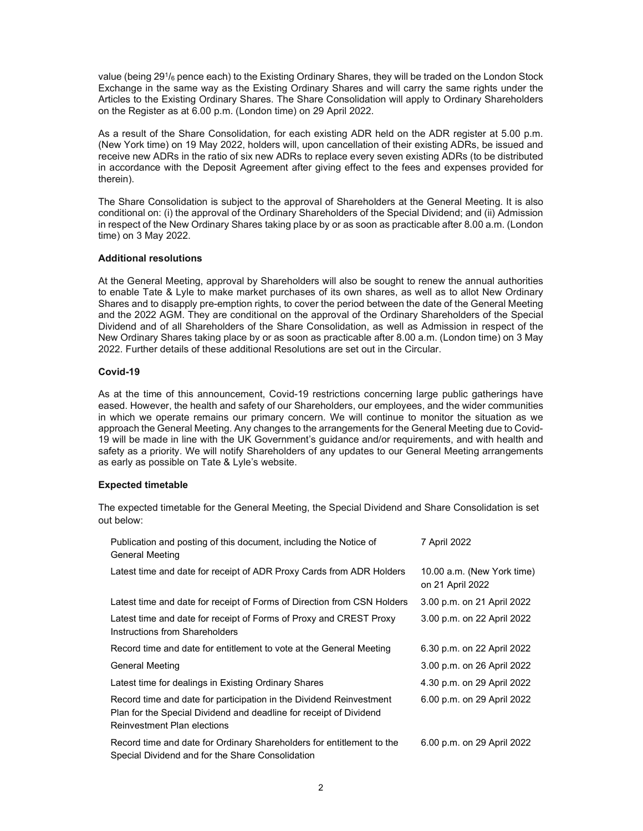value (being 29<sup>1</sup> /6 pence each) to the Existing Ordinary Shares, they will be traded on the London Stock Exchange in the same way as the Existing Ordinary Shares and will carry the same rights under the Articles to the Existing Ordinary Shares. The Share Consolidation will apply to Ordinary Shareholders on the Register as at 6.00 p.m. (London time) on 29 April 2022.

As a result of the Share Consolidation, for each existing ADR held on the ADR register at 5.00 p.m. (New York time) on 19 May 2022, holders will, upon cancellation of their existing ADRs, be issued and receive new ADRs in the ratio of six new ADRs to replace every seven existing ADRs (to be distributed in accordance with the Deposit Agreement after giving effect to the fees and expenses provided for therein).

The Share Consolidation is subject to the approval of Shareholders at the General Meeting. It is also conditional on: (i) the approval of the Ordinary Shareholders of the Special Dividend; and (ii) Admission in respect of the New Ordinary Shares taking place by or as soon as practicable after 8.00 a.m. (London time) on 3 May 2022.

## Additional resolutions

At the General Meeting, approval by Shareholders will also be sought to renew the annual authorities to enable Tate & Lyle to make market purchases of its own shares, as well as to allot New Ordinary Shares and to disapply pre-emption rights, to cover the period between the date of the General Meeting and the 2022 AGM. They are conditional on the approval of the Ordinary Shareholders of the Special Dividend and of all Shareholders of the Share Consolidation, as well as Admission in respect of the New Ordinary Shares taking place by or as soon as practicable after 8.00 a.m. (London time) on 3 May 2022. Further details of these additional Resolutions are set out in the Circular.

# Covid-19

As at the time of this announcement, Covid-19 restrictions concerning large public gatherings have eased. However, the health and safety of our Shareholders, our employees, and the wider communities in which we operate remains our primary concern. We will continue to monitor the situation as we approach the General Meeting. Any changes to the arrangements for the General Meeting due to Covid-19 will be made in line with the UK Government's guidance and/or requirements, and with health and safety as a priority. We will notify Shareholders of any updates to our General Meeting arrangements as early as possible on Tate & Lyle's website.

## Expected timetable

The expected timetable for the General Meeting, the Special Dividend and Share Consolidation is set out below:

| Publication and posting of this document, including the Notice of<br><b>General Meeting</b>                                                                                     | 7 April 2022                                   |
|---------------------------------------------------------------------------------------------------------------------------------------------------------------------------------|------------------------------------------------|
| Latest time and date for receipt of ADR Proxy Cards from ADR Holders                                                                                                            | 10.00 a.m. (New York time)<br>on 21 April 2022 |
| Latest time and date for receipt of Forms of Direction from CSN Holders                                                                                                         | 3.00 p.m. on 21 April 2022                     |
| Latest time and date for receipt of Forms of Proxy and CREST Proxy<br>Instructions from Shareholders                                                                            | 3.00 p.m. on 22 April 2022                     |
| Record time and date for entitlement to vote at the General Meeting                                                                                                             | 6.30 p.m. on 22 April 2022                     |
| <b>General Meeting</b>                                                                                                                                                          | 3.00 p.m. on 26 April 2022                     |
| Latest time for dealings in Existing Ordinary Shares                                                                                                                            | 4.30 p.m. on 29 April 2022                     |
| Record time and date for participation in the Dividend Reinvestment<br>Plan for the Special Dividend and deadline for receipt of Dividend<br><b>Reinvestment Plan elections</b> | 6.00 p.m. on 29 April 2022                     |
| Record time and date for Ordinary Shareholders for entitlement to the<br>Special Dividend and for the Share Consolidation                                                       | 6.00 p.m. on 29 April 2022                     |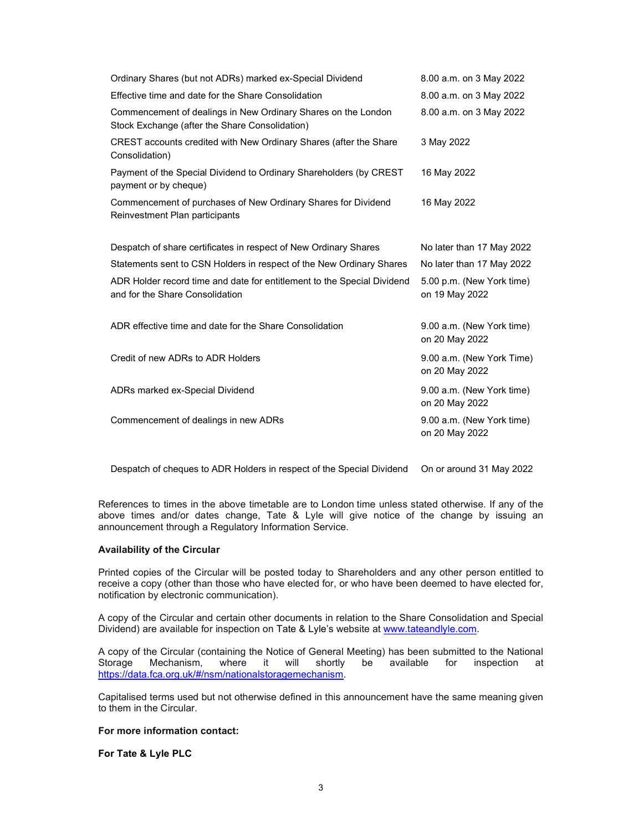| Ordinary Shares (but not ADRs) marked ex-Special Dividend                                                       | 8.00 a.m. on 3 May 2022                     |
|-----------------------------------------------------------------------------------------------------------------|---------------------------------------------|
| Effective time and date for the Share Consolidation                                                             | 8.00 a.m. on 3 May 2022                     |
| Commencement of dealings in New Ordinary Shares on the London<br>Stock Exchange (after the Share Consolidation) | 8.00 a.m. on 3 May 2022                     |
| CREST accounts credited with New Ordinary Shares (after the Share<br>Consolidation)                             | 3 May 2022                                  |
| Payment of the Special Dividend to Ordinary Shareholders (by CREST<br>payment or by cheque)                     | 16 May 2022                                 |
| Commencement of purchases of New Ordinary Shares for Dividend<br>Reinvestment Plan participants                 | 16 May 2022                                 |
| Despatch of share certificates in respect of New Ordinary Shares                                                | No later than 17 May 2022                   |
| Statements sent to CSN Holders in respect of the New Ordinary Shares                                            | No later than 17 May 2022                   |
| ADR Holder record time and date for entitlement to the Special Dividend<br>and for the Share Consolidation      | 5.00 p.m. (New York time)<br>on 19 May 2022 |
| ADR effective time and date for the Share Consolidation                                                         | 9.00 a.m. (New York time)<br>on 20 May 2022 |
| Credit of new ADRs to ADR Holders                                                                               | 9.00 a.m. (New York Time)<br>on 20 May 2022 |
| ADRs marked ex-Special Dividend                                                                                 | 9.00 a.m. (New York time)<br>on 20 May 2022 |
| Commencement of dealings in new ADRs                                                                            | 9.00 a.m. (New York time)<br>on 20 May 2022 |

Despatch of cheques to ADR Holders in respect of the Special Dividend On or around 31 May 2022

References to times in the above timetable are to London time unless stated otherwise. If any of the above times and/or dates change, Tate & Lyle will give notice of the change by issuing an announcement through a Regulatory Information Service.

## Availability of the Circular

Printed copies of the Circular will be posted today to Shareholders and any other person entitled to receive a copy (other than those who have elected for, or who have been deemed to have elected for, notification by electronic communication).

A copy of the Circular and certain other documents in relation to the Share Consolidation and Special Dividend) are available for inspection on Tate & Lyle's website at www.tateandlyle.com.

A copy of the Circular (containing the Notice of General Meeting) has been submitted to the National Storage Mechanism, where it will shortly be available for inspection at https://data.fca.org.uk/#/nsm/nationalstoragemechanism.

Capitalised terms used but not otherwise defined in this announcement have the same meaning given to them in the Circular.

# For more information contact:

For Tate & Lyle PLC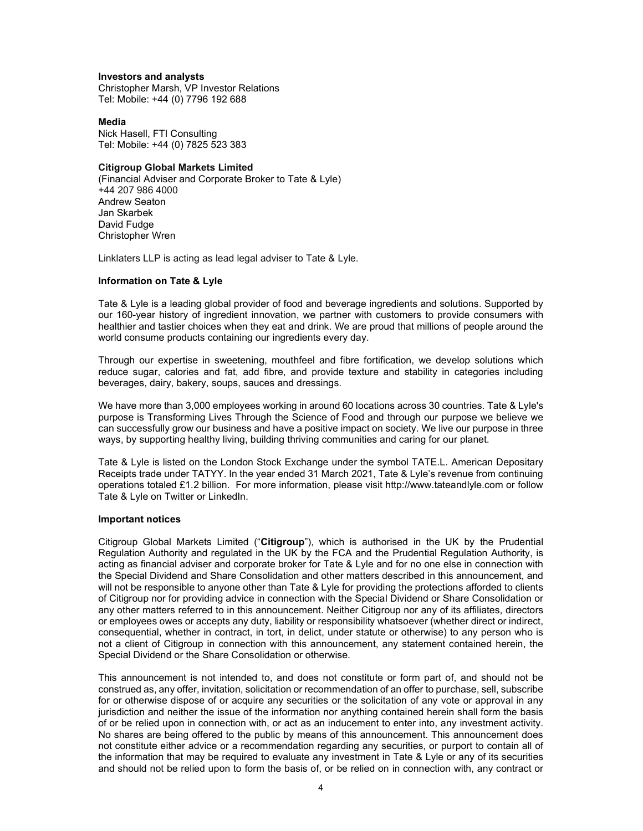#### Investors and analysts

Christopher Marsh, VP Investor Relations Tel: Mobile: +44 (0) 7796 192 688

#### Media

Nick Hasell, FTI Consulting Tel: Mobile: +44 (0) 7825 523 383

## Citigroup Global Markets Limited

(Financial Adviser and Corporate Broker to Tate & Lyle) +44 207 986 4000 Andrew Seaton Jan Skarbek David Fudge Christopher Wren

Linklaters LLP is acting as lead legal adviser to Tate & Lyle.

## Information on Tate & Lyle

Tate & Lyle is a leading global provider of food and beverage ingredients and solutions. Supported by our 160-year history of ingredient innovation, we partner with customers to provide consumers with healthier and tastier choices when they eat and drink. We are proud that millions of people around the world consume products containing our ingredients every day.

Through our expertise in sweetening, mouthfeel and fibre fortification, we develop solutions which reduce sugar, calories and fat, add fibre, and provide texture and stability in categories including beverages, dairy, bakery, soups, sauces and dressings.

We have more than 3,000 employees working in around 60 locations across 30 countries. Tate & Lyle's purpose is Transforming Lives Through the Science of Food and through our purpose we believe we can successfully grow our business and have a positive impact on society. We live our purpose in three ways, by supporting healthy living, building thriving communities and caring for our planet.

Tate & Lyle is listed on the London Stock Exchange under the symbol TATE.L. American Depositary Receipts trade under TATYY. In the year ended 31 March 2021, Tate & Lyle's revenue from continuing operations totaled £1.2 billion. For more information, please visit http://www.tateandlyle.com or follow Tate & Lyle on Twitter or LinkedIn.

## Important notices

Citigroup Global Markets Limited ("Citigroup"), which is authorised in the UK by the Prudential Regulation Authority and regulated in the UK by the FCA and the Prudential Regulation Authority, is acting as financial adviser and corporate broker for Tate & Lyle and for no one else in connection with the Special Dividend and Share Consolidation and other matters described in this announcement, and will not be responsible to anyone other than Tate & Lyle for providing the protections afforded to clients of Citigroup nor for providing advice in connection with the Special Dividend or Share Consolidation or any other matters referred to in this announcement. Neither Citigroup nor any of its affiliates, directors or employees owes or accepts any duty, liability or responsibility whatsoever (whether direct or indirect, consequential, whether in contract, in tort, in delict, under statute or otherwise) to any person who is not a client of Citigroup in connection with this announcement, any statement contained herein, the Special Dividend or the Share Consolidation or otherwise.

This announcement is not intended to, and does not constitute or form part of, and should not be construed as, any offer, invitation, solicitation or recommendation of an offer to purchase, sell, subscribe for or otherwise dispose of or acquire any securities or the solicitation of any vote or approval in any jurisdiction and neither the issue of the information nor anything contained herein shall form the basis of or be relied upon in connection with, or act as an inducement to enter into, any investment activity. No shares are being offered to the public by means of this announcement. This announcement does not constitute either advice or a recommendation regarding any securities, or purport to contain all of the information that may be required to evaluate any investment in Tate & Lyle or any of its securities and should not be relied upon to form the basis of, or be relied on in connection with, any contract or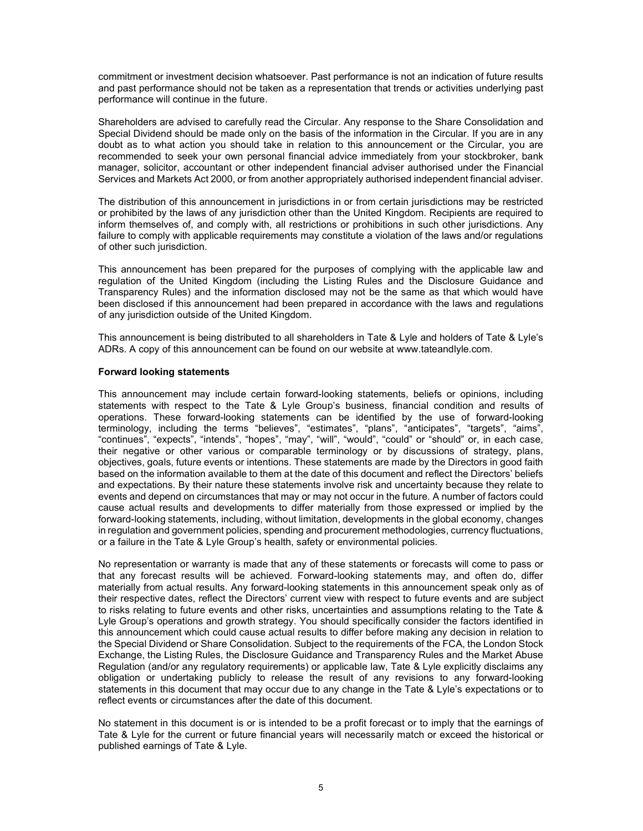commitment or investment decision whatsoever. Past performance is not an indication of future results and past performance should not be taken as a representation that trends or activities underlying past performance will continue in the future.

Shareholders are advised to carefully read the Circular. Any response to the Share Consolidation and Special Dividend should be made only on the basis of the information in the Circular. If you are in any doubt as to what action you should take in relation to this announcement or the Circular, you are recommended to seek your own personal financial advice immediately from your stockbroker, bank manager, solicitor, accountant or other independent financial adviser authorised under the Financial Services and Markets Act 2000, or from another appropriately authorised independent financial adviser.

The distribution of this announcement in jurisdictions in or from certain jurisdictions may be restricted or prohibited by the laws of any jurisdiction other than the United Kingdom. Recipients are required to inform themselves of, and comply with, all restrictions or prohibitions in such other jurisdictions. Any failure to comply with applicable requirements may constitute a violation of the laws and/or regulations of other such jurisdiction.

This announcement has been prepared for the purposes of complying with the applicable law and regulation of the United Kingdom (including the Listing Rules and the Disclosure Guidance and Transparency Rules) and the information disclosed may not be the same as that which would have been disclosed if this announcement had been prepared in accordance with the laws and regulations of any jurisdiction outside of the United Kingdom.

This announcement is being distributed to all shareholders in Tate & Lyle and holders of Tate & Lyle's ADRs. A copy of this announcement can be found on our website at www.tateandlyle.com.

## Forward looking statements

This announcement may include certain forward-looking statements, beliefs or opinions, including statements with respect to the Tate & Lyle Group's business, financial condition and results of operations. These forward-looking statements can be identified by the use of forward-looking terminology, including the terms "believes", "estimates", "plans", "anticipates", "targets", "aims", "continues", "expects", "intends", "hopes", "may", "will", "would", "could" or "should" or, in each case, their negative or other various or comparable terminology or by discussions of strategy, plans, objectives, goals, future events or intentions. These statements are made by the Directors in good faith based on the information available to them at the date of this document and reflect the Directors' beliefs and expectations. By their nature these statements involve risk and uncertainty because they relate to events and depend on circumstances that may or may not occur in the future. A number of factors could cause actual results and developments to differ materially from those expressed or implied by the forward-looking statements, including, without limitation, developments in the global economy, changes in regulation and government policies, spending and procurement methodologies, currency fluctuations, or a failure in the Tate & Lyle Group's health, safety or environmental policies.

No representation or warranty is made that any of these statements or forecasts will come to pass or that any forecast results will be achieved. Forward-looking statements may, and often do, differ materially from actual results. Any forward-looking statements in this announcement speak only as of their respective dates, reflect the Directors' current view with respect to future events and are subject to risks relating to future events and other risks, uncertainties and assumptions relating to the Tate & Lyle Group's operations and growth strategy. You should specifically consider the factors identified in this announcement which could cause actual results to differ before making any decision in relation to the Special Dividend or Share Consolidation. Subject to the requirements of the FCA, the London Stock Exchange, the Listing Rules, the Disclosure Guidance and Transparency Rules and the Market Abuse Regulation (and/or any regulatory requirements) or applicable law, Tate & Lyle explicitly disclaims any obligation or undertaking publicly to release the result of any revisions to any forward-looking statements in this document that may occur due to any change in the Tate & Lyle's expectations or to reflect events or circumstances after the date of this document.

No statement in this document is or is intended to be a profit forecast or to imply that the earnings of Tate & Lyle for the current or future financial years will necessarily match or exceed the historical or published earnings of Tate & Lyle.